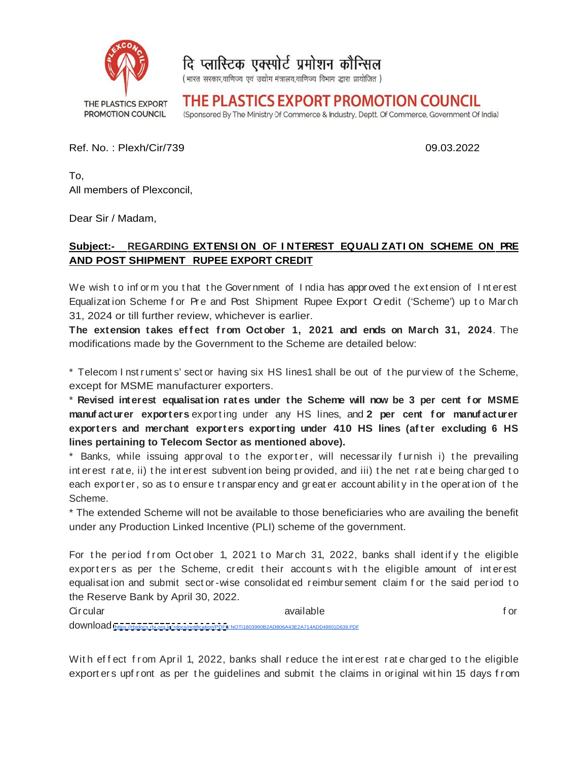

दि प्लास्टिक एक्स्पोर्ट प्रमोशन कौन्सिल

(भारत सरकार,वाणिज्य एवं उद्योग मंत्रालय,वाणिज्य विभाग द्धारा प्रायोजित)

THE PLASTICS EXPORT PROMOTION COUNCIL THE PLASTICS EXPORT PROMOTION COUNCIL

(Sponsored By The Ministry Of Commerce & Industry, Deptt. Of Commerce, Government Of India)

Ref. No. : Plexh/Cir/739

 To, All members of Plexconcil,

Dear Sir / Madam,

## **Subject: Subject:- REGARDING**  $\overline{AND}$  POST SHIPMENT  $\overline{R}$  RUPEE EXPORT CREDIT **RUPEE EXPORT CREDIT ON SCHEME ON PRE**

We wish to inform you that the Government of India has approved the extension of Interest Equalization Scheme for Pre and Post Shipment Rupee Export Credit ('Scheme') up to March 31, 2024 or till further review, whichever is earlier. uthat the Government of India has approved the extension of Interest<br>or Pre and Post Shipment Rupee Export Credit ('Scheme') up to March

modifications made by the Government to the Scheme are detailed below:

The extension takes effect from October 1, 2021 and ends on March 31, 2024. The<br>modifications made by the Government to the Scheme are detailed below:<br>\* Telecom Instruments' sector having six HS lines1 shall be out of the \* Telecom I nst ruments' sect or having six HS lines1 shall be out of the purview of the Scheme, except for MSME manufacturer exporters. ruments' sect or having six HS lines1 shall be out of the purview of the Scheme,<br>ME manufacturer exporters.

\* **Revised interest equalisation rat es under the Scheme will now be 3 per cent f or MSME** \* Revised interest equalisation rates under the Scheme will now be 3 per cent for MSME<br>manufacturer exporters exporting under any HS lines, and 2 per cent for manufacturer exporters and merchant exporters exporting under 410 HS lines (after excluding 6 HS **lines pertaining to Telecom Sector as mentioned above). lines pertaining** No.: Plexh/Cir/739 **CONTABUT CONTABUT CONTABUT CONTABUT CONTABUT CONTABUT CONTABUT CONTABUT CONTABUT CONTABUT CONTABUT CONTABUT CONTABUT CONTABUT CONTABUT CONTABUT CONTABUT CONTABUT CONTABUT CONTABUT CONTABUT CONTABUT CONT** 09.03.2022<br> **ENTENSION OF INTEREST EQUALIZATION SCHEME ON PRE**<br> **ENTENSION OF INTEREST EQUALIZATION SCHEME ON PRE**<br> **INSTERT CONTINUATION SCHEME ON PRE**<br> **INSTERT AND PREFERENT CONTINUATION** SCHEME ON PRE<br> **INSTERT AND PRE EXTENSION OF INTEREST EQUALIZATION SCHEME ON PRE**<br> **RUPEE EXPORT CREDIT**<br> **RIGHT IN CONVERTION TO INSIGNATION SCHEME ON PRE**<br> **EXECUTE THE CONVERT CREDIT**<br> **F F C** and **PC C F F C C F C C F C F** 09.03.2022<br>
NON OF INTEREST EQUALIZATION SCHEME ON PRE<br>
EXPORT CREDIT<br>
EXPORT CREDIT<br>
EXPORT CREDIT<br>
Fost Shipment Rupe Export Credit ("Scheme") up to March<br>
from Crotober 1, 2021 and ends on March 31, 2024. The<br>
memotion 09.03.2022<br>
ST EQUALIZATION SCHEME ON FRE<br>
has approved the extension of Interest<br>
e Export Credit ('Scheme') up to March<br>
21 and ends on March 31, 2024. The<br>
are detailed below:<br>
hall be out of the purview of the Scheme,<br> s on March 31, 2024. The<br>below:<br>the purview of the Scheme,<br>w be 3 per cent for MSME<br>per cent for manufacturer<br>mes (after excluding 6 HS<br>ly furnish i) the prevailing<br>ne net rate being charged to<br>bility in the operation of t

\* Banks, while issuing approval to the exporter, will necessarily furnish i) the prevailing \* Banks, while issuing approval to the exporter, will necessarily furnish i) the prevailing<br>interest rate, ii) the interest subvention being provided, and iii) the net rate being charged to each export er, so as to ensure transparency and greater accountability in the operation of the Scheme. The contract of the contract of the contract of the contract of the contract of the contract of the contract of the contract of the contract of the contract of the contract of the contract of the contract of the co **ers exporting under any HS lines, and 2 per cent for manufacturer**<br>**ant exporters exporting under 410 HS lines (after excluding 6 HS**<br>**Ecom Sector as mentioned above).**<br>**g** approval to the exporter, will necessarily furni prevailing

\* The extended Scheme will not be available to those beneficiaries who are availing the benefit under any Production Linked Incentive (PLI) scheme of the government. ach exporter, so as to ensure transparency and greater accountability in the operation of the<br>cheme.<br>The extended Scheme will not be available to those beneficiaries who are availing the benefit<br>nder any Production Linked

For the period from October 1, 2021 to March 31, 2022, banks shall identify the eligible exporters as per the Scheme, credit their accounts with the eligible amount of interest equalisation and submit sector-wise consolidated reimbur sement claim for the said period to the Reserve Bank by April 30, 2022. e being charged to<br>he operation of the<br>availing the benefit<br>dentify the eligible<br>amount of interest<br>the said period to<br>for

With effect from April 1, 2022, banks shall reduce the interest rate charged to the eligible<br>. export ers upf ront as per the quidelines and submit the claims in original within 15 days from m April 1, 2022, banks shall reduce the interest rate charged to old https://tbidocs.rbi.org.in/rdocs/notification/PDFs/NOT11803990B2AD806A43E2A714ADD49801D639.PDF<br>effect from April 1, 2022, banks shall reduce the interest rate charged to the eligible<br>ters upfront as per the guidelines